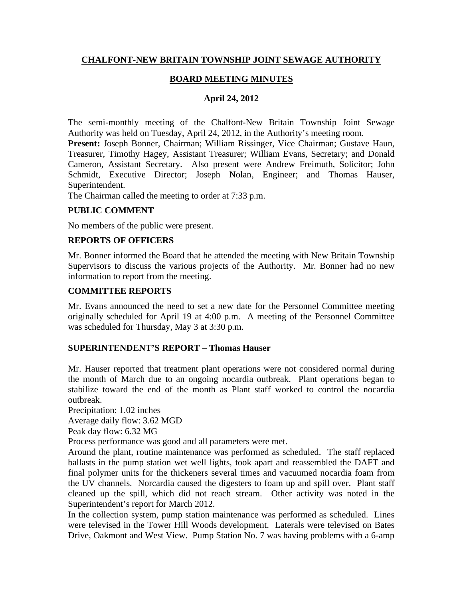# **CHALFONT-NEW BRITAIN TOWNSHIP JOINT SEWAGE AUTHORITY**

# **BOARD MEETING MINUTES**

# **April 24, 2012**

The semi-monthly meeting of the Chalfont-New Britain Township Joint Sewage Authority was held on Tuesday, April 24, 2012, in the Authority's meeting room.

**Present:** Joseph Bonner, Chairman; William Rissinger, Vice Chairman; Gustave Haun, Treasurer, Timothy Hagey, Assistant Treasurer; William Evans, Secretary; and Donald Cameron, Assistant Secretary. Also present were Andrew Freimuth, Solicitor; John Schmidt, Executive Director; Joseph Nolan, Engineer; and Thomas Hauser, Superintendent.

The Chairman called the meeting to order at 7:33 p.m.

#### **PUBLIC COMMENT**

No members of the public were present.

#### **REPORTS OF OFFICERS**

Mr. Bonner informed the Board that he attended the meeting with New Britain Township Supervisors to discuss the various projects of the Authority. Mr. Bonner had no new information to report from the meeting.

# **COMMITTEE REPORTS**

Mr. Evans announced the need to set a new date for the Personnel Committee meeting originally scheduled for April 19 at 4:00 p.m. A meeting of the Personnel Committee was scheduled for Thursday, May 3 at 3:30 p.m.

#### **SUPERINTENDENT'S REPORT – Thomas Hauser**

Mr. Hauser reported that treatment plant operations were not considered normal during the month of March due to an ongoing nocardia outbreak. Plant operations began to stabilize toward the end of the month as Plant staff worked to control the nocardia outbreak.

Precipitation: 1.02 inches

Average daily flow: 3.62 MGD

Peak day flow: 6.32 MG

Process performance was good and all parameters were met.

Around the plant, routine maintenance was performed as scheduled. The staff replaced ballasts in the pump station wet well lights, took apart and reassembled the DAFT and final polymer units for the thickeners several times and vacuumed nocardia foam from the UV channels. Norcardia caused the digesters to foam up and spill over. Plant staff cleaned up the spill, which did not reach stream. Other activity was noted in the Superintendent's report for March 2012.

In the collection system, pump station maintenance was performed as scheduled. Lines were televised in the Tower Hill Woods development. Laterals were televised on Bates Drive, Oakmont and West View. Pump Station No. 7 was having problems with a 6-amp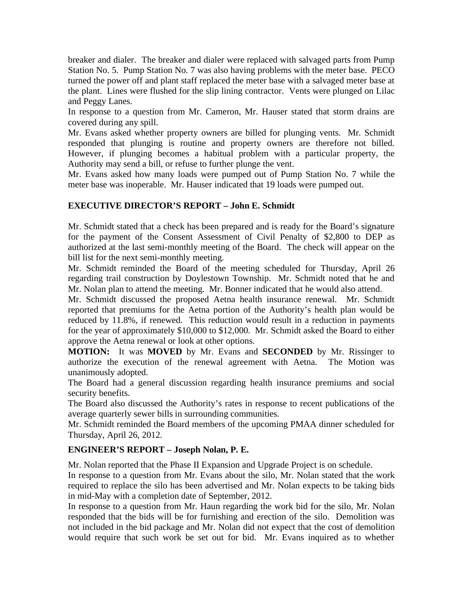breaker and dialer. The breaker and dialer were replaced with salvaged parts from Pump Station No. 5. Pump Station No. 7 was also having problems with the meter base. PECO turned the power off and plant staff replaced the meter base with a salvaged meter base at the plant. Lines were flushed for the slip lining contractor. Vents were plunged on Lilac and Peggy Lanes.

In response to a question from Mr. Cameron, Mr. Hauser stated that storm drains are covered during any spill.

Mr. Evans asked whether property owners are billed for plunging vents. Mr. Schmidt responded that plunging is routine and property owners are therefore not billed. However, if plunging becomes a habitual problem with a particular property, the Authority may send a bill, or refuse to further plunge the vent.

Mr. Evans asked how many loads were pumped out of Pump Station No. 7 while the meter base was inoperable. Mr. Hauser indicated that 19 loads were pumped out.

# **EXECUTIVE DIRECTOR'S REPORT – John E. Schmidt**

Mr. Schmidt stated that a check has been prepared and is ready for the Board's signature for the payment of the Consent Assessment of Civil Penalty of \$2,800 to DEP as authorized at the last semi-monthly meeting of the Board. The check will appear on the bill list for the next semi-monthly meeting.

Mr. Schmidt reminded the Board of the meeting scheduled for Thursday, April 26 regarding trail construction by Doylestown Township. Mr. Schmidt noted that he and Mr. Nolan plan to attend the meeting. Mr. Bonner indicated that he would also attend.

Mr. Schmidt discussed the proposed Aetna health insurance renewal. Mr. Schmidt reported that premiums for the Aetna portion of the Authority's health plan would be reduced by 11.8%, if renewed. This reduction would result in a reduction in payments for the year of approximately \$10,000 to \$12,000. Mr. Schmidt asked the Board to either approve the Aetna renewal or look at other options.

**MOTION:** It was **MOVED** by Mr. Evans and **SECONDED** by Mr. Rissinger to authorize the execution of the renewal agreement with Aetna. The Motion was unanimously adopted.

The Board had a general discussion regarding health insurance premiums and social security benefits.

The Board also discussed the Authority's rates in response to recent publications of the average quarterly sewer bills in surrounding communities.

Mr. Schmidt reminded the Board members of the upcoming PMAA dinner scheduled for Thursday, April 26, 2012.

# **ENGINEER'S REPORT – Joseph Nolan, P. E.**

Mr. Nolan reported that the Phase II Expansion and Upgrade Project is on schedule.

In response to a question from Mr. Evans about the silo, Mr. Nolan stated that the work required to replace the silo has been advertised and Mr. Nolan expects to be taking bids in mid-May with a completion date of September, 2012.

In response to a question from Mr. Haun regarding the work bid for the silo, Mr. Nolan responded that the bids will be for furnishing and erection of the silo. Demolition was not included in the bid package and Mr. Nolan did not expect that the cost of demolition would require that such work be set out for bid. Mr. Evans inquired as to whether